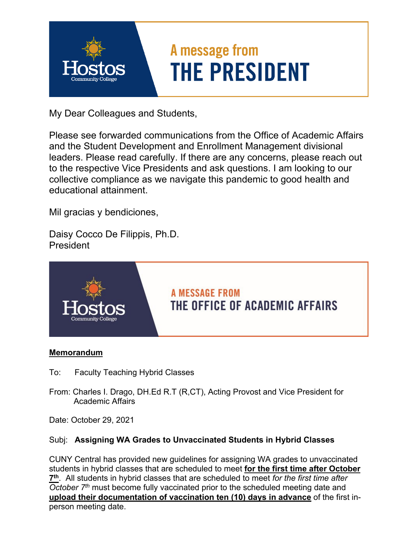

My Dear Colleagues and Students,

Please see forwarded communications from the Office of Academic Affairs and the Student Development and Enrollment Management divisional leaders. Please read carefully. If there are any concerns, please reach out to the respective Vice Presidents and ask questions. I am looking to our collective compliance as we navigate this pandemic to good health and educational attainment.

Mil gracias y bendiciones,

Daisy Cocco De Filippis, Ph.D. President



### **Memorandum**

- To: Faculty Teaching Hybrid Classes
- From: Charles I. Drago, DH.Ed R.T (R,CT), Acting Provost and Vice President for Academic Affairs

Date: October 29, 2021

### Subj: **Assigning WA Grades to Unvaccinated Students in Hybrid Classes**

CUNY Central has provided new guidelines for assigning WA grades to unvaccinated students in hybrid classes that are scheduled to meet **for the first time after October 7th**. All students in hybrid classes that are scheduled to meet *for the first time after October 7th* must become fully vaccinated prior to the scheduled meeting date and **upload their documentation of vaccination ten (10) days in advance** of the first inperson meeting date.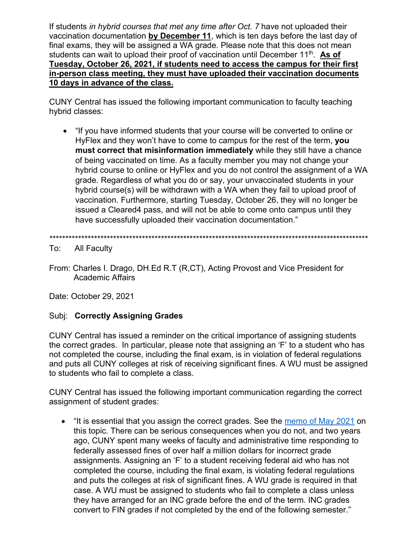If students *in hybrid courses that met any time after Oct. 7* have not uploaded their vaccination documentation **by December 11**, which is ten days before the last day of final exams, they will be assigned a WA grade. Please note that this does not mean students can wait to upload their proof of vaccination until December 11th. **As of Tuesday, October 26, 2021, if students need to access the campus for their first in-person class meeting, they must have uploaded their vaccination documents 10 days in advance of the class.** 

CUNY Central has issued the following important communication to faculty teaching hybrid classes:

 "If you have informed students that your course will be converted to online or HyFlex and they won't have to come to campus for the rest of the term, **you must correct that misinformation immediately** while they still have a chance of being vaccinated on time. As a faculty member you may not change your hybrid course to online or HyFlex and you do not control the assignment of a WA grade. Regardless of what you do or say, your unvaccinated students in your hybrid course(s) will be withdrawn with a WA when they fail to upload proof of vaccination. Furthermore, starting Tuesday, October 26, they will no longer be issued a Cleared4 pass, and will not be able to come onto campus until they have successfully uploaded their vaccination documentation."

\*\*\*\*\*\*\*\*\*\*\*\*\*\*\*\*\*\*\*\*\*\*\*\*\*\*\*\*\*\*\*\*\*\*\*\*\*\*\*\*\*\*\*\*\*\*\*\*\*\*\*\*\*\*\*\*\*\*\*\*\*\*\*\*\*\*\*\*\*\*\*\*\*\*\*\*\*\*\*\*\*\*\*\*\*\*\*\*\*\*\*\*\*\*\*\*\*\*\*\*

To: All Faculty

From: Charles I. Drago, DH.Ed R.T (R,CT), Acting Provost and Vice President for Academic Affairs

Date: October 29, 2021

### Subj: **Correctly Assigning Grades**

CUNY Central has issued a reminder on the critical importance of assigning students the correct grades. In particular, please note that assigning an 'F' to a student who has not completed the course, including the final exam, is in violation of federal regulations and puts all CUNY colleges at risk of receiving significant fines. A WU must be assigned to students who fail to complete a class.

CUNY Central has issued the following important communication regarding the correct assignment of student grades:

• "It is essential that you assign the correct grades. See the [memo of May 2021](https://www.cuny.edu/wp-content/uploads/sites/4/page-assets/about/administration/offices/registrar/resources/CUNY-Uniform-Grade-Glossary-Policies-and-Guidelines-05222021-1.pdf) on this topic. There can be serious consequences when you do not, and two years ago, CUNY spent many weeks of faculty and administrative time responding to federally assessed fines of over half a million dollars for incorrect grade assignments. Assigning an 'F' to a student receiving federal aid who has not completed the course, including the final exam, is violating federal regulations and puts the colleges at risk of significant fines. A WU grade is required in that case. A WU must be assigned to students who fail to complete a class unless they have arranged for an INC grade before the end of the term. INC grades convert to FIN grades if not completed by the end of the following semester."